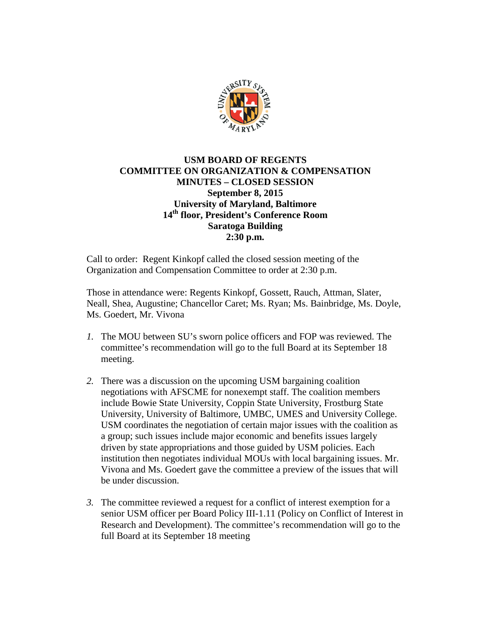

## **USM BOARD OF REGENTS COMMITTEE ON ORGANIZATION & COMPENSATION MINUTES – CLOSED SESSION September 8, 2015 University of Maryland, Baltimore 14th floor, President's Conference Room Saratoga Building 2:30 p.m.**

Call to order: Regent Kinkopf called the closed session meeting of the Organization and Compensation Committee to order at 2:30 p.m.

Those in attendance were: Regents Kinkopf, Gossett, Rauch, Attman, Slater, Neall, Shea, Augustine; Chancellor Caret; Ms. Ryan; Ms. Bainbridge, Ms. Doyle, Ms. Goedert, Mr. Vivona

- *1.* The MOU between SU's sworn police officers and FOP was reviewed. The committee's recommendation will go to the full Board at its September 18 meeting.
- *2.* There was a discussion on the upcoming USM bargaining coalition negotiations with AFSCME for nonexempt staff. The coalition members include Bowie State University, Coppin State University, Frostburg State University, University of Baltimore, UMBC, UMES and University College. USM coordinates the negotiation of certain major issues with the coalition as a group; such issues include major economic and benefits issues largely driven by state appropriations and those guided by USM policies. Each institution then negotiates individual MOUs with local bargaining issues. Mr. Vivona and Ms. Goedert gave the committee a preview of the issues that will be under discussion.
- *3.* The committee reviewed a request for a conflict of interest exemption for a senior USM officer per Board Policy III-1.11 (Policy on Conflict of Interest in Research and Development). The committee's recommendation will go to the full Board at its September 18 meeting